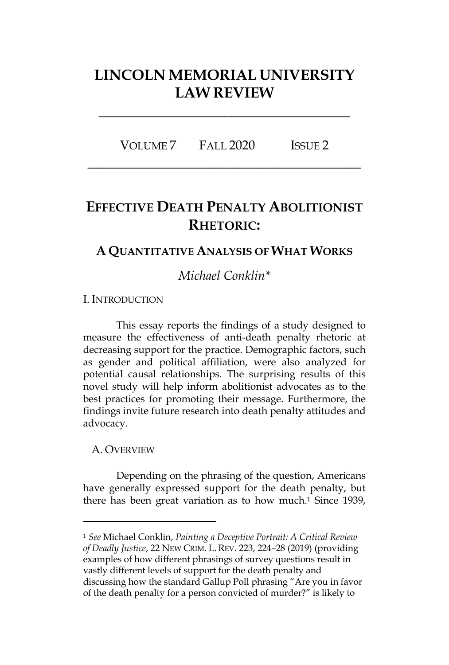# **LINCOLN MEMORIAL UNIVERSITY LAW REVIEW**

**\_\_\_\_\_\_\_\_\_\_\_\_\_\_\_\_\_\_\_\_\_\_\_\_\_\_\_\_\_\_\_\_\_\_**

VOLUME 7 FALL 2020 ISSUE 2 **\_\_\_\_\_\_\_\_\_\_\_\_\_\_\_\_\_\_\_\_\_\_\_\_\_\_\_\_\_\_\_\_\_\_\_\_\_**

# **EFFECTIVE DEATH PENALTY ABOLITIONIST RHETORIC:**

# **A QUANTITATIVE ANALYSIS OF WHAT WORKS**

# *Michael Conklin\**

I. INTRODUCTION

This essay reports the findings of a study designed to measure the effectiveness of anti-death penalty rhetoric at decreasing support for the practice. Demographic factors, such as gender and political affiliation, were also analyzed for potential causal relationships. The surprising results of this novel study will help inform abolitionist advocates as to the best practices for promoting their message. Furthermore, the findings invite future research into death penalty attitudes and advocacy.

## A. OVERVIEW

Depending on the phrasing of the question, Americans have generally expressed support for the death penalty, but there has been great variation as to how much.1 Since 1939,

<sup>1</sup> *See* Michael Conklin, *Painting a Deceptive Portrait: A Critical Review of Deadly Justice*, 22 NEW CRIM. L. REV. 223, 224–28 (2019) (providing examples of how different phrasings of survey questions result in vastly different levels of support for the death penalty and discussing how the standard Gallup Poll phrasing "Are you in favor of the death penalty for a person convicted of murder?" is likely to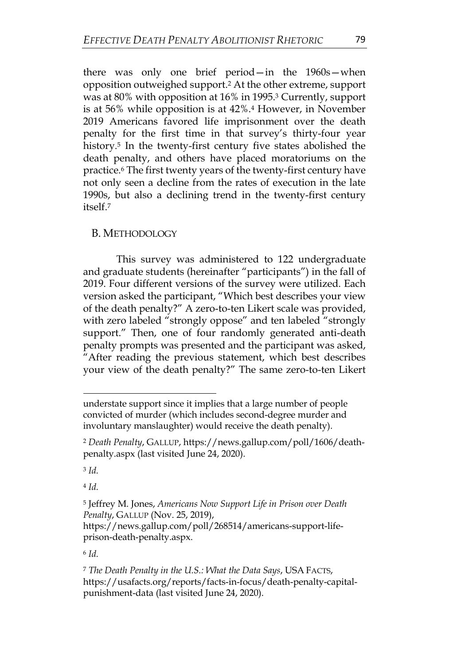there was only one brief period—in the 1960s—when opposition outweighed support.2 At the other extreme, support was at 80% with opposition at 16% in 1995.3 Currently, support is at 56% while opposition is at 42%.4 However, in November 2019 Americans favored life imprisonment over the death penalty for the first time in that survey's thirty-four year history.<sup>5</sup> In the twenty-first century five states abolished the death penalty, and others have placed moratoriums on the practice.6 The first twenty years of the twenty-first century have not only seen a decline from the rates of execution in the late 1990s, but also a declining trend in the twenty-first century itself.7

# B. METHODOLOGY

This survey was administered to 122 undergraduate and graduate students (hereinafter "participants") in the fall of 2019. Four different versions of the survey were utilized. Each version asked the participant, "Which best describes your view of the death penalty?" A zero-to-ten Likert scale was provided, with zero labeled "strongly oppose" and ten labeled "strongly support." Then, one of four randomly generated anti-death penalty prompts was presented and the participant was asked, "After reading the previous statement, which best describes your view of the death penalty?" The same zero-to-ten Likert

<sup>4</sup> *Id.*

understate support since it implies that a large number of people convicted of murder (which includes second-degree murder and involuntary manslaughter) would receive the death penalty).

<sup>2</sup> *Death Penalty*, GALLUP, https://news.gallup.com/poll/1606/deathpenalty.aspx (last visited June 24, 2020).

<sup>3</sup> *Id.*

<sup>5</sup> Jeffrey M. Jones, *Americans Now Support Life in Prison over Death Penalty*, GALLUP (Nov. 25, 2019),

https://news.gallup.com/poll/268514/americans-support-lifeprison-death-penalty.aspx.

<sup>6</sup> *Id.*

<sup>7</sup> *The Death Penalty in the U.S.: What the Data Says*, USA FACTS, https://usafacts.org/reports/facts-in-focus/death-penalty-capitalpunishment-data (last visited June 24, 2020).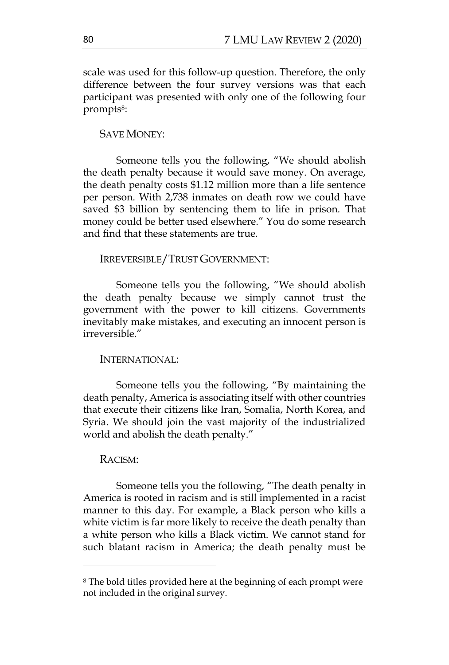scale was used for this follow-up question. Therefore, the only difference between the four survey versions was that each participant was presented with only one of the following four prompts8:

### SAVE MONEY:

Someone tells you the following, "We should abolish the death penalty because it would save money. On average, the death penalty costs \$1.12 million more than a life sentence per person. With 2,738 inmates on death row we could have saved \$3 billion by sentencing them to life in prison. That money could be better used elsewhere." You do some research and find that these statements are true.

#### IRREVERSIBLE/TRUST GOVERNMENT:

Someone tells you the following, "We should abolish the death penalty because we simply cannot trust the government with the power to kill citizens. Governments inevitably make mistakes, and executing an innocent person is irreversible."

#### INTERNATIONAL:

Someone tells you the following, "By maintaining the death penalty, America is associating itself with other countries that execute their citizens like Iran, Somalia, North Korea, and Syria. We should join the vast majority of the industrialized world and abolish the death penalty."

#### RACISM:

Someone tells you the following, "The death penalty in America is rooted in racism and is still implemented in a racist manner to this day. For example, a Black person who kills a white victim is far more likely to receive the death penalty than a white person who kills a Black victim. We cannot stand for such blatant racism in America; the death penalty must be

<sup>8</sup> The bold titles provided here at the beginning of each prompt were not included in the original survey.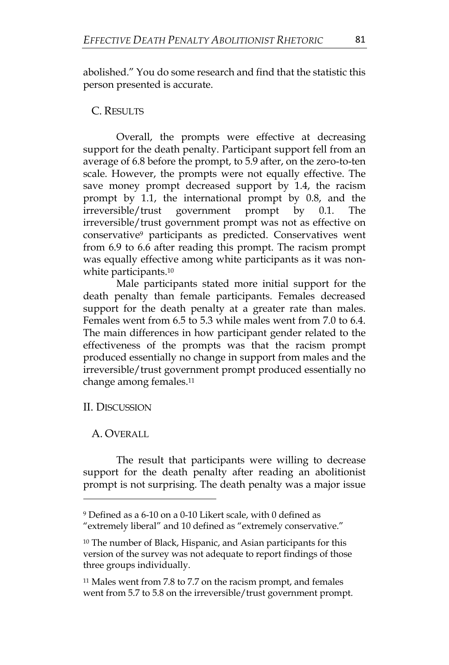abolished." You do some research and find that the statistic this person presented is accurate.

# C. RESULTS

Overall, the prompts were effective at decreasing support for the death penalty. Participant support fell from an average of 6.8 before the prompt, to 5.9 after, on the zero-to-ten scale. However, the prompts were not equally effective. The save money prompt decreased support by 1.4, the racism prompt by 1.1, the international prompt by 0.8, and the irreversible/trust government prompt by 0.1. The irreversible/trust government prompt was not as effective on conservative9 participants as predicted. Conservatives went from 6.9 to 6.6 after reading this prompt. The racism prompt was equally effective among white participants as it was nonwhite participants.<sup>10</sup>

Male participants stated more initial support for the death penalty than female participants. Females decreased support for the death penalty at a greater rate than males. Females went from 6.5 to 5.3 while males went from 7.0 to 6.4. The main differences in how participant gender related to the effectiveness of the prompts was that the racism prompt produced essentially no change in support from males and the irreversible/trust government prompt produced essentially no change among females.11

# II. DISCUSSION

# A. OVERALL

The result that participants were willing to decrease support for the death penalty after reading an abolitionist prompt is not surprising. The death penalty was a major issue

<sup>9</sup> Defined as a 6-10 on a 0-10 Likert scale, with 0 defined as "extremely liberal" and 10 defined as "extremely conservative."

<sup>10</sup> The number of Black, Hispanic, and Asian participants for this version of the survey was not adequate to report findings of those three groups individually.

<sup>11</sup> Males went from 7.8 to 7.7 on the racism prompt, and females went from 5.7 to 5.8 on the irreversible/trust government prompt.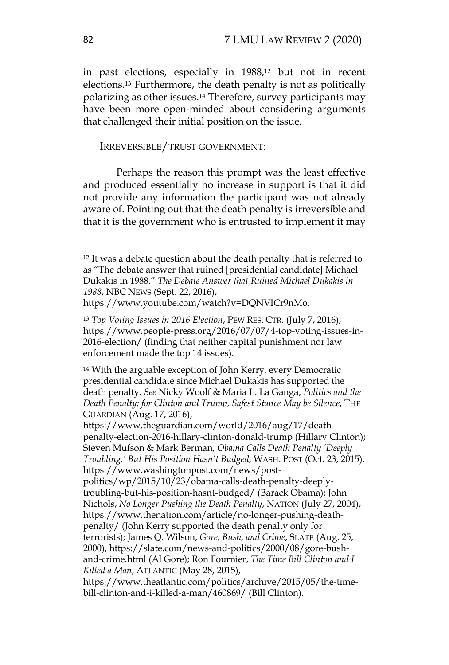in past elections, especially in 1988,12 but not in recent elections.13 Furthermore, the death penalty is not as politically polarizing as other issues.14 Therefore, survey participants may have been more open-minded about considering arguments that challenged their initial position on the issue.

#### IRREVERSIBLE/TRUST GOVERNMENT:

Perhaps the reason this prompt was the least effective and produced essentially no increase in support is that it did not provide any information the participant was not already aware of. Pointing out that the death penalty is irreversible and that it is the government who is entrusted to implement it may

https://www.youtube.com/watch?v=DQNVICr9nMo.

https://www.theguardian.com/world/2016/aug/17/deathpenalty-election-2016-hillary-clinton-donald-trump (Hillary Clinton); Steven Mufson & Mark Berman, *Obama Calls Death Penalty 'Deeply Troubling,' But His Position Hasn't Budged*, WASH. POST (Oct. 23, 2015), https://www.washingtonpost.com/news/post-

politics/wp/2015/10/23/obama-calls-death-penalty-deeplytroubling-but-his-position-hasnt-budged/ (Barack Obama); John Nichols, *No Longer Pushing the Death Penalty*, NATION (July 27, 2004), https://www.thenation.com/article/no-longer-pushing-deathpenalty/ (John Kerry supported the death penalty only for terrorists); James Q. Wilson, *Gore, Bush, and Crime*, SLATE (Aug. 25, 2000), https://slate.com/news-and-politics/2000/08/gore-bushand-crime.html (Al Gore); Ron Fournier, *The Time Bill Clinton and I Killed a Man*, ATLANTIC (May 28, 2015),

<sup>&</sup>lt;sup>12</sup> It was a debate question about the death penalty that is referred to as "The debate answer that ruined [presidential candidate] Michael Dukakis in 1988." *The Debate Answer that Ruined Michael Dukakis in 1988*, NBC NEWS (Sept. 22, 2016),

<sup>13</sup> *Top Voting Issues in 2016 Election*, PEW RES. CTR. (July 7, 2016), https://www.people-press.org/2016/07/07/4-top-voting-issues-in-2016-election/ (finding that neither capital punishment nor law enforcement made the top 14 issues).

<sup>14</sup> With the arguable exception of John Kerry, every Democratic presidential candidate since Michael Dukakis has supported the death penalty. *See* Nicky Woolf & Maria L. La Ganga, *Politics and the Death Penalty: for Clinton and Trump, Safest Stance May be Silence*, THE GUARDIAN (Aug. 17, 2016),

https://www.theatlantic.com/politics/archive/2015/05/the-timebill-clinton-and-i-killed-a-man/460869/ (Bill Clinton).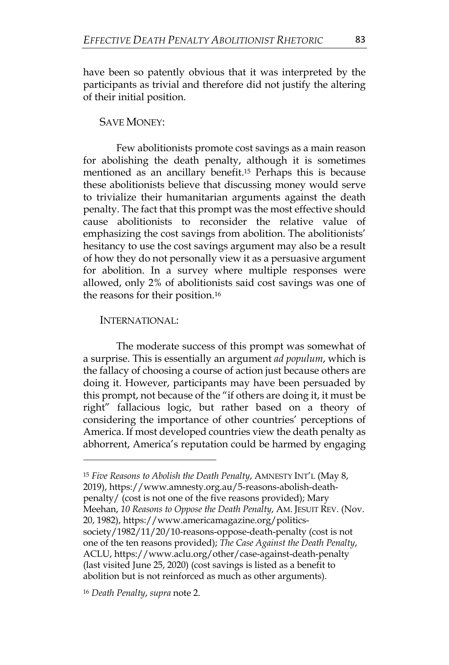have been so patently obvious that it was interpreted by the participants as trivial and therefore did not justify the altering of their initial position.

SAVE MONEY:

Few abolitionists promote cost savings as a main reason for abolishing the death penalty, although it is sometimes mentioned as an ancillary benefit.15 Perhaps this is because these abolitionists believe that discussing money would serve to trivialize their humanitarian arguments against the death penalty. The fact that this prompt was the most effective should cause abolitionists to reconsider the relative value of emphasizing the cost savings from abolition. The abolitionists' hesitancy to use the cost savings argument may also be a result of how they do not personally view it as a persuasive argument for abolition. In a survey where multiple responses were allowed, only 2% of abolitionists said cost savings was one of the reasons for their position.16

## INTERNATIONAL:

The moderate success of this prompt was somewhat of a surprise. This is essentially an argument *ad populum*, which is the fallacy of choosing a course of action just because others are doing it. However, participants may have been persuaded by this prompt, not because of the "if others are doing it, it must be right" fallacious logic, but rather based on a theory of considering the importance of other countries' perceptions of America. If most developed countries view the death penalty as abhorrent, America's reputation could be harmed by engaging

<sup>15</sup> *Five Reasons to Abolish the Death Penalty*, AMNESTY INT'L (May 8, 2019), https://www.amnesty.org.au/5-reasons-abolish-deathpenalty/ (cost is not one of the five reasons provided); Mary

Meehan, *10 Reasons to Oppose the Death Penalty*, AM. JESUIT REV. (Nov. 20, 1982), https://www.americamagazine.org/politics-

society/1982/11/20/10-reasons-oppose-death-penalty (cost is not one of the ten reasons provided); *The Case Against the Death Penalty*, ACLU, https://www.aclu.org/other/case-against-death-penalty (last visited June 25, 2020) (cost savings is listed as a benefit to abolition but is not reinforced as much as other arguments).

<sup>16</sup> *Death Penalty*, *supra* note 2.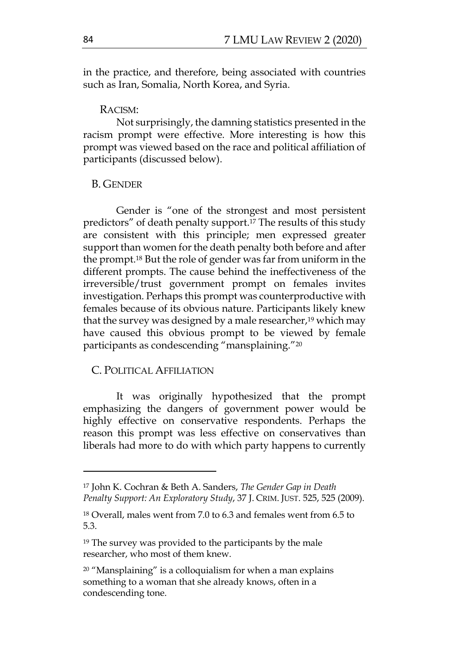in the practice, and therefore, being associated with countries such as Iran, Somalia, North Korea, and Syria.

#### RACISM:

Not surprisingly, the damning statistics presented in the racism prompt were effective. More interesting is how this prompt was viewed based on the race and political affiliation of participants (discussed below).

## B. GENDER

Gender is "one of the strongest and most persistent predictors" of death penalty support.17 The results of this study are consistent with this principle; men expressed greater support than women for the death penalty both before and after the prompt.18 But the role of gender was far from uniform in the different prompts. The cause behind the ineffectiveness of the irreversible/trust government prompt on females invites investigation. Perhaps this prompt was counterproductive with females because of its obvious nature. Participants likely knew that the survey was designed by a male researcher,<sup>19</sup> which may have caused this obvious prompt to be viewed by female participants as condescending "mansplaining."20

## C. POLITICAL AFFILIATION

It was originally hypothesized that the prompt emphasizing the dangers of government power would be highly effective on conservative respondents. Perhaps the reason this prompt was less effective on conservatives than liberals had more to do with which party happens to currently

<sup>17</sup> John K. Cochran & Beth A. Sanders, *The Gender Gap in Death Penalty Support: An Exploratory Study*, 37 J. CRIM. JUST. 525, 525 (2009).

<sup>18</sup> Overall, males went from 7.0 to 6.3 and females went from 6.5 to 5.3.

<sup>19</sup> The survey was provided to the participants by the male researcher, who most of them knew.

 $20$  "Mansplaining" is a colloquialism for when a man explains something to a woman that she already knows, often in a condescending tone.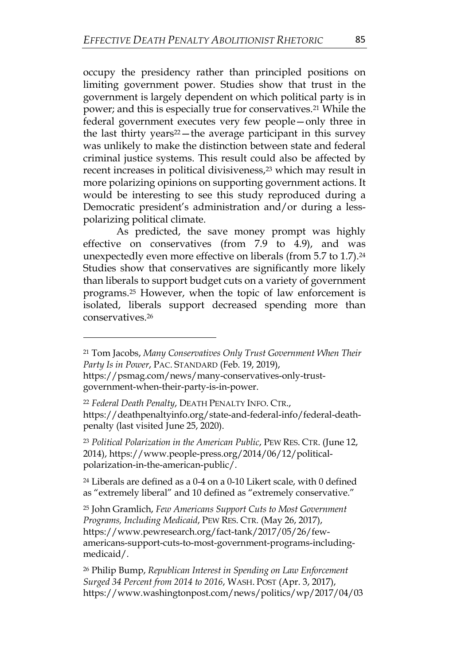occupy the presidency rather than principled positions on limiting government power. Studies show that trust in the government is largely dependent on which political party is in power; and this is especially true for conservatives.21 While the federal government executes very few people—only three in the last thirty years<sup>22</sup>—the average participant in this survey was unlikely to make the distinction between state and federal criminal justice systems. This result could also be affected by recent increases in political divisiveness,<sup>23</sup> which may result in more polarizing opinions on supporting government actions. It would be interesting to see this study reproduced during a Democratic president's administration and/or during a lesspolarizing political climate.

As predicted, the save money prompt was highly effective on conservatives (from 7.9 to 4.9), and was unexpectedly even more effective on liberals (from 5.7 to 1.7).24 Studies show that conservatives are significantly more likely than liberals to support budget cuts on a variety of government programs.25 However, when the topic of law enforcement is isolated, liberals support decreased spending more than conservatives.26

<sup>23</sup> *Political Polarization in the American Public*, PEW RES. CTR. (June 12, 2014), https://www.people-press.org/2014/06/12/politicalpolarization-in-the-american-public/.

<sup>24</sup> Liberals are defined as a 0-4 on a 0-10 Likert scale, with 0 defined as "extremely liberal" and 10 defined as "extremely conservative."

<sup>25</sup> John Gramlich, *Few Americans Support Cuts to Most Government Programs, Including Medicaid*, PEW RES. CTR. (May 26, 2017), https://www.pewresearch.org/fact-tank/2017/05/26/fewamericans-support-cuts-to-most-government-programs-includingmedicaid/.

<sup>26</sup> Philip Bump, *Republican Interest in Spending on Law Enforcement Surged 34 Percent from 2014 to 2016*, WASH. POST (Apr. 3, 2017), https://www.washingtonpost.com/news/politics/wp/2017/04/03

<sup>21</sup> Tom Jacobs, *Many Conservatives Only Trust Government When Their Party Is in Power*, PAC. STANDARD (Feb. 19, 2019),

https://psmag.com/news/many-conservatives-only-trustgovernment-when-their-party-is-in-power.

<sup>22</sup> *Federal Death Penalty*, DEATH PENALTY INFO. CTR., https://deathpenaltyinfo.org/state-and-federal-info/federal-deathpenalty (last visited June 25, 2020).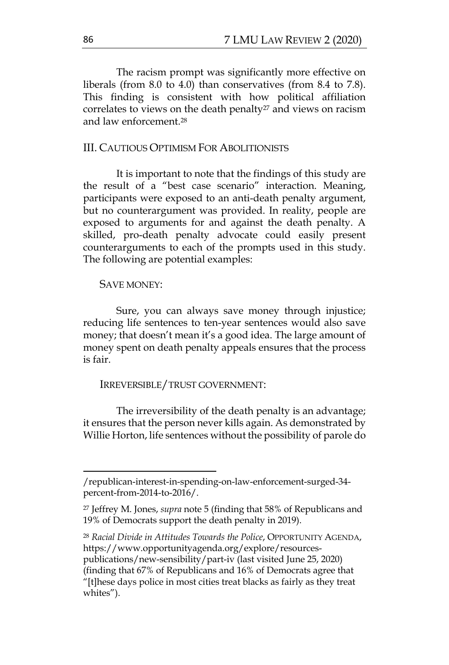The racism prompt was significantly more effective on liberals (from 8.0 to 4.0) than conservatives (from 8.4 to 7.8). This finding is consistent with how political affiliation correlates to views on the death penalty<sup>27</sup> and views on racism and law enforcement.28

## III. CAUTIOUS OPTIMISM FOR ABOLITIONISTS

It is important to note that the findings of this study are the result of a "best case scenario" interaction. Meaning, participants were exposed to an anti-death penalty argument, but no counterargument was provided. In reality, people are exposed to arguments for and against the death penalty. A skilled, pro-death penalty advocate could easily present counterarguments to each of the prompts used in this study. The following are potential examples:

#### SAVE MONEY:

Sure, you can always save money through injustice; reducing life sentences to ten-year sentences would also save money; that doesn't mean it's a good idea. The large amount of money spent on death penalty appeals ensures that the process is fair.

### IRREVERSIBLE/TRUST GOVERNMENT:

The irreversibility of the death penalty is an advantage; it ensures that the person never kills again. As demonstrated by Willie Horton, life sentences without the possibility of parole do

<sup>28</sup> *Racial Divide in Attitudes Towards the Police*, OPPORTUNITY AGENDA, https://www.opportunityagenda.org/explore/resourcespublications/new-sensibility/part-iv (last visited June 25, 2020) (finding that 67% of Republicans and 16% of Democrats agree that "[t]hese days police in most cities treat blacks as fairly as they treat whites").

<sup>/</sup>republican-interest-in-spending-on-law-enforcement-surged-34 percent-from-2014-to-2016/.

<sup>27</sup> Jeffrey M. Jones, *supra* note 5 (finding that 58% of Republicans and 19% of Democrats support the death penalty in 2019).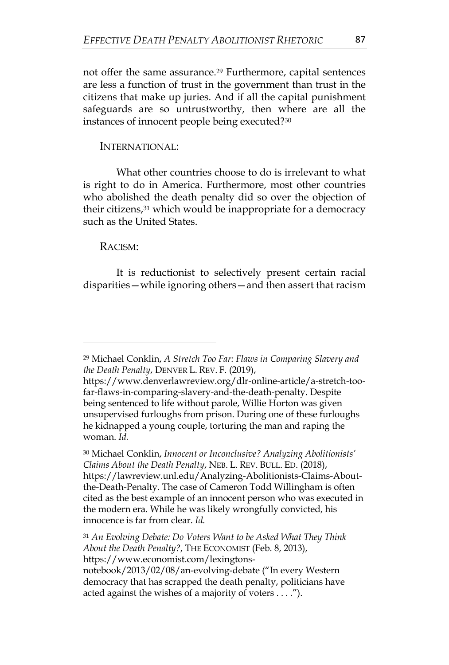not offer the same assurance.<sup>29</sup> Furthermore, capital sentences are less a function of trust in the government than trust in the citizens that make up juries. And if all the capital punishment safeguards are so untrustworthy, then where are all the instances of innocent people being executed?30

#### INTERNATIONAL:

What other countries choose to do is irrelevant to what is right to do in America. Furthermore, most other countries who abolished the death penalty did so over the objection of their citizens,<sup>31</sup> which would be inappropriate for a democracy such as the United States.

#### RACISM:

It is reductionist to selectively present certain racial disparities—while ignoring others—and then assert that racism

<sup>29</sup> Michael Conklin, *A Stretch Too Far: Flaws in Comparing Slavery and the Death Penalty*, DENVER L. REV. F. (2019),

https://www.denverlawreview.org/dlr-online-article/a-stretch-toofar-flaws-in-comparing-slavery-and-the-death-penalty. Despite being sentenced to life without parole, Willie Horton was given unsupervised furloughs from prison. During one of these furloughs he kidnapped a young couple, torturing the man and raping the woman. *Id.*

<sup>30</sup> Michael Conklin, *Innocent or Inconclusive? Analyzing Abolitionists' Claims About the Death Penalty*, NEB. L. REV. BULL. ED. (2018), https://lawreview.unl.edu/Analyzing-Abolitionists-Claims-Aboutthe-Death-Penalty. The case of Cameron Todd Willingham is often cited as the best example of an innocent person who was executed in the modern era. While he was likely wrongfully convicted, his innocence is far from clear. *Id.*

<sup>31</sup> *An Evolving Debate: Do Voters Want to be Asked What They Think About the Death Penalty?*, THE ECONOMIST (Feb. 8, 2013), https://www.economist.com/lexingtons-

notebook/2013/02/08/an-evolving-debate ("In every Western democracy that has scrapped the death penalty, politicians have acted against the wishes of a majority of voters . . . .").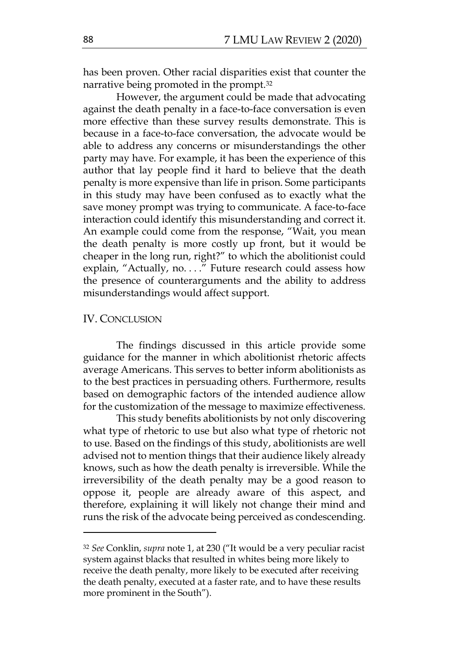has been proven. Other racial disparities exist that counter the narrative being promoted in the prompt.32

However, the argument could be made that advocating against the death penalty in a face-to-face conversation is even more effective than these survey results demonstrate. This is because in a face-to-face conversation, the advocate would be able to address any concerns or misunderstandings the other party may have. For example, it has been the experience of this author that lay people find it hard to believe that the death penalty is more expensive than life in prison. Some participants in this study may have been confused as to exactly what the save money prompt was trying to communicate. A face-to-face interaction could identify this misunderstanding and correct it. An example could come from the response, "Wait, you mean the death penalty is more costly up front, but it would be cheaper in the long run, right?" to which the abolitionist could explain, "Actually, no. . . ." Future research could assess how the presence of counterarguments and the ability to address misunderstandings would affect support.

#### IV. CONCLUSION

The findings discussed in this article provide some guidance for the manner in which abolitionist rhetoric affects average Americans. This serves to better inform abolitionists as to the best practices in persuading others. Furthermore, results based on demographic factors of the intended audience allow for the customization of the message to maximize effectiveness.

This study benefits abolitionists by not only discovering what type of rhetoric to use but also what type of rhetoric not to use. Based on the findings of this study, abolitionists are well advised not to mention things that their audience likely already knows, such as how the death penalty is irreversible. While the irreversibility of the death penalty may be a good reason to oppose it, people are already aware of this aspect, and therefore, explaining it will likely not change their mind and runs the risk of the advocate being perceived as condescending.

<sup>32</sup> *See* Conklin, *supra* note 1, at 230 ("It would be a very peculiar racist system against blacks that resulted in whites being more likely to receive the death penalty, more likely to be executed after receiving the death penalty, executed at a faster rate, and to have these results more prominent in the South").